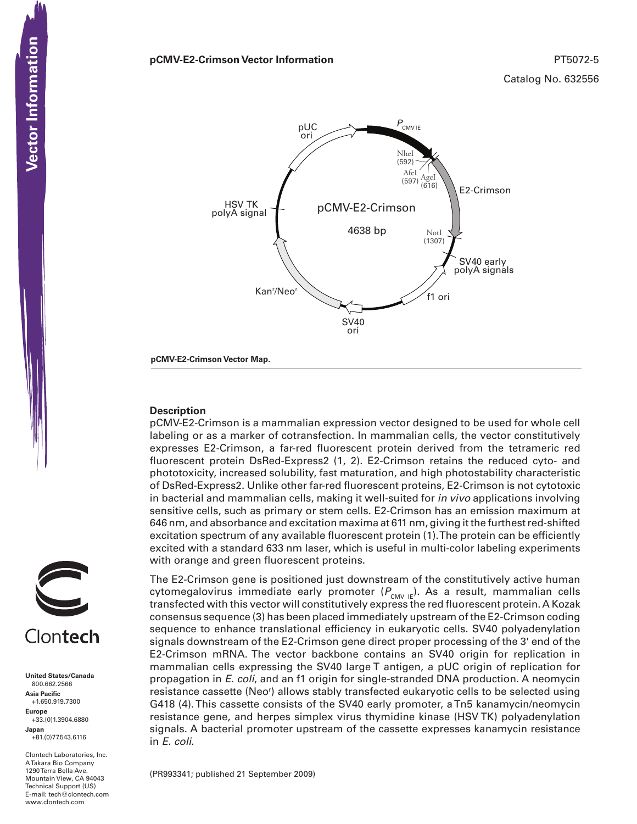### **pCMV-E2-Crimson Vector Information** PT5072-5



**pCMV-E2-Crimson Vector Map.**

### **Description**

pCMV-E2-Crimson is a mammalian expression vector designed to be used for whole cell labeling or as a marker of cotransfection. In mammalian cells, the vector constitutively expresses E2-Crimson, a far-red fluorescent protein derived from the tetrameric red fluorescent protein DsRed-Express2 (1, 2). E2-Crimson retains the reduced cyto- and phototoxicity, increased solubility, fast maturation, and high photostability characteristic of DsRed-Express2. Unlike other far-red fluorescent proteins, E2-Crimson is not cytotoxic in bacterial and mammalian cells, making it well-suited for *in vivo* applications involving sensitive cells, such as primary or stem cells. E2-Crimson has an emission maximum at 646 nm, and absorbance and excitation maxima at 611 nm, giving it the furthest red-shifted excitation spectrum of any available fluorescent protein (1). The protein can be efficiently excited with a standard 633 nm laser, which is useful in multi-color labeling experiments with orange and green fluorescent proteins.

The E2-Crimson gene is positioned just downstream of the constitutively active human cytomegalovirus immediate early promoter ( $P_{\text{CMV IE}}$ ). As a result, mammalian cells transfected with this vector will constitutively express the red fluorescent protein. A Kozak consensus sequence (3) has been placed immediately upstream of the E2-Crimson coding sequence to enhance translational efficiency in eukaryotic cells. SV40 polyadenylation signals downstream of the E2-Crimson gene direct proper processing of the 3' end of the E2-Crimson mRNA. The vector backbone contains an SV40 origin for replication in mammalian cells expressing the SV40 large T antigen, a pUC origin of replication for propagation in *E. coli*, and an f1 origin for single-stranded DNA production. A neomycin resistance cassette (Neo<sup>r</sup>) allows stably transfected eukaryotic cells to be selected using G418 (4). This cassette consists of the SV40 early promoter, a Tn5 kanamycin/neomycin resistance gene, and herpes simplex virus thymidine kinase (HSV TK) polyadenylation signals. A bacterial promoter upstream of the cassette expresses kanamycin resistance in *E. coli*.

(PR993341; published 21 September 2009)



**United States/Canada** 800.662.2566 **Asia Pacific** +1.650.919.7300 **Europe** +33.(0)1.3904.6880 **Japan** +81.(0)77.543.6116

Clontech Laboratories, Inc. A Takara Bio Company 1290 Terra Bella Ave. Mountain View, CA 94043 Technical Support (US) E-mail: tech@clontech.com<br>www.clontech.com